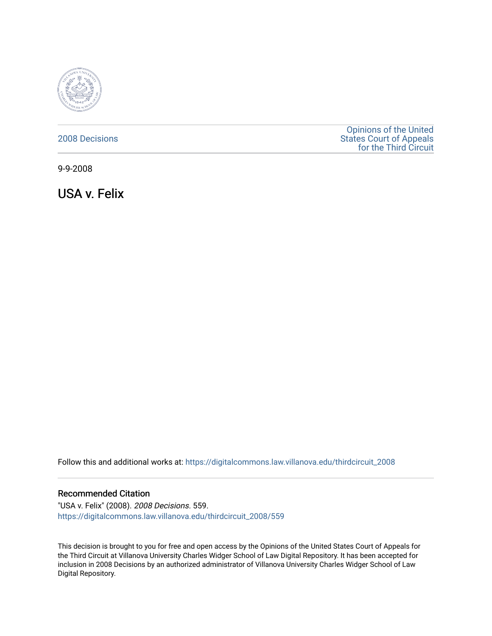

## [2008 Decisions](https://digitalcommons.law.villanova.edu/thirdcircuit_2008)

[Opinions of the United](https://digitalcommons.law.villanova.edu/thirdcircuit)  [States Court of Appeals](https://digitalcommons.law.villanova.edu/thirdcircuit)  [for the Third Circuit](https://digitalcommons.law.villanova.edu/thirdcircuit) 

9-9-2008

USA v. Felix

Follow this and additional works at: [https://digitalcommons.law.villanova.edu/thirdcircuit\\_2008](https://digitalcommons.law.villanova.edu/thirdcircuit_2008?utm_source=digitalcommons.law.villanova.edu%2Fthirdcircuit_2008%2F559&utm_medium=PDF&utm_campaign=PDFCoverPages) 

### Recommended Citation

"USA v. Felix" (2008). 2008 Decisions. 559. [https://digitalcommons.law.villanova.edu/thirdcircuit\\_2008/559](https://digitalcommons.law.villanova.edu/thirdcircuit_2008/559?utm_source=digitalcommons.law.villanova.edu%2Fthirdcircuit_2008%2F559&utm_medium=PDF&utm_campaign=PDFCoverPages)

This decision is brought to you for free and open access by the Opinions of the United States Court of Appeals for the Third Circuit at Villanova University Charles Widger School of Law Digital Repository. It has been accepted for inclusion in 2008 Decisions by an authorized administrator of Villanova University Charles Widger School of Law Digital Repository.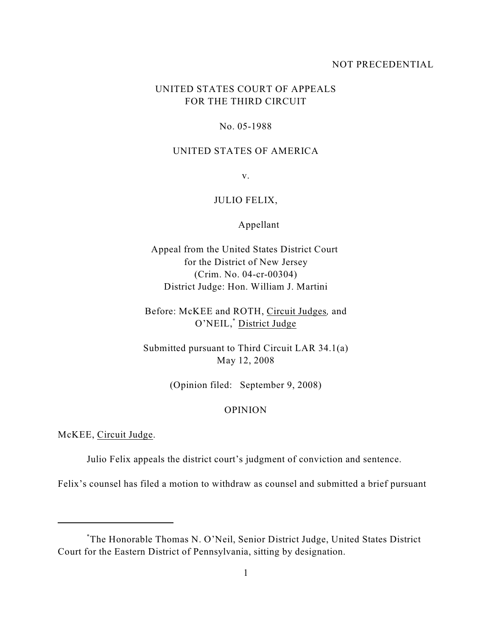### NOT PRECEDENTIAL

# UNITED STATES COURT OF APPEALS FOR THE THIRD CIRCUIT

#### No. 05-1988

### UNITED STATES OF AMERICA

v.

## JULIO FELIX,

Appellant

Appeal from the United States District Court for the District of New Jersey (Crim. No. 04-cr-00304) District Judge: Hon. William J. Martini

Before: McKEE and ROTH, Circuit Judges*,* and O'NEIL,<sup>\*</sup> District Judge

Submitted pursuant to Third Circuit LAR 34.1(a) May 12, 2008

(Opinion filed: September 9, 2008)

### OPINION

McKEE, Circuit Judge.

Julio Felix appeals the district court's judgment of conviction and sentence.

Felix's counsel has filed a motion to withdraw as counsel and submitted a brief pursuant

The Honorable Thomas N. O'Neil, Senior District Judge, United States District \* Court for the Eastern District of Pennsylvania, sitting by designation.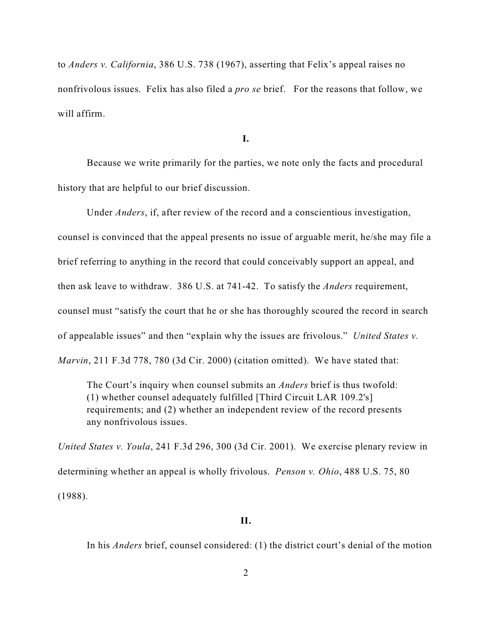to *Anders v. California*, 386 U.S. 738 (1967), asserting that Felix's appeal raises no nonfrivolous issues. Felix has also filed a *pro se* brief. For the reasons that follow, we will affirm.

**I.**

Because we write primarily for the parties, we note only the facts and procedural history that are helpful to our brief discussion.

Under *Anders*, if, after review of the record and a conscientious investigation,

counsel is convinced that the appeal presents no issue of arguable merit, he/she may file a brief referring to anything in the record that could conceivably support an appeal, and then ask leave to withdraw. 386 U.S. at 741-42. To satisfy the *Anders* requirement, counsel must "satisfy the court that he or she has thoroughly scoured the record in search of appealable issues" and then "explain why the issues are frivolous." *United States v. Marvin*, 211 F.3d 778, 780 (3d Cir. 2000) (citation omitted). We have stated that:

The Court's inquiry when counsel submits an *Anders* brief is thus twofold: (1) whether counsel adequately fulfilled [Third Circuit LAR 109.2's] requirements; and (2) whether an independent review of the record presents any nonfrivolous issues.

*United States v. Youla*, 241 F.3d 296, 300 (3d Cir. 2001). We exercise plenary review in determining whether an appeal is wholly frivolous. *Penson v. Ohio*, 488 U.S. 75, 80 (1988).

#### **II.**

In his *Anders* brief, counsel considered: (1) the district court's denial of the motion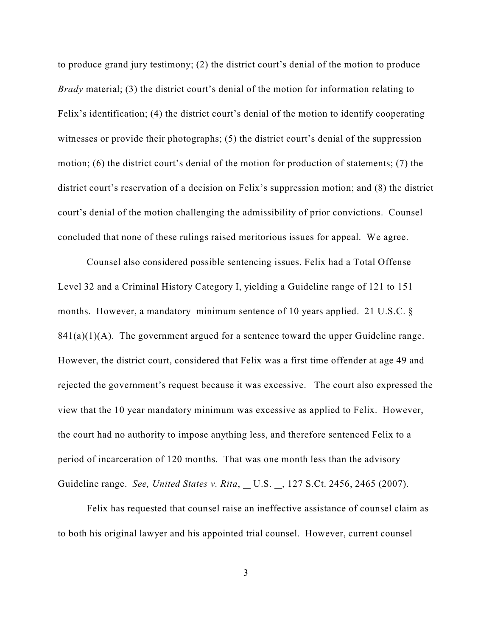to produce grand jury testimony; (2) the district court's denial of the motion to produce *Brady* material; (3) the district court's denial of the motion for information relating to Felix's identification; (4) the district court's denial of the motion to identify cooperating witnesses or provide their photographs; (5) the district court's denial of the suppression motion; (6) the district court's denial of the motion for production of statements; (7) the district court's reservation of a decision on Felix's suppression motion; and (8) the district court's denial of the motion challenging the admissibility of prior convictions. Counsel concluded that none of these rulings raised meritorious issues for appeal. We agree.

Counsel also considered possible sentencing issues. Felix had a Total Offense Level 32 and a Criminal History Category I, yielding a Guideline range of 121 to 151 months. However, a mandatory minimum sentence of 10 years applied. 21 U.S.C. §  $841(a)(1)(A)$ . The government argued for a sentence toward the upper Guideline range. However, the district court, considered that Felix was a first time offender at age 49 and rejected the government's request because it was excessive. The court also expressed the view that the 10 year mandatory minimum was excessive as applied to Felix. However, the court had no authority to impose anything less, and therefore sentenced Felix to a period of incarceration of 120 months. That was one month less than the advisory Guideline range. *See, United States v. Rita*, U.S. , 127 S.Ct. 2456, 2465 (2007).

Felix has requested that counsel raise an ineffective assistance of counsel claim as to both his original lawyer and his appointed trial counsel. However, current counsel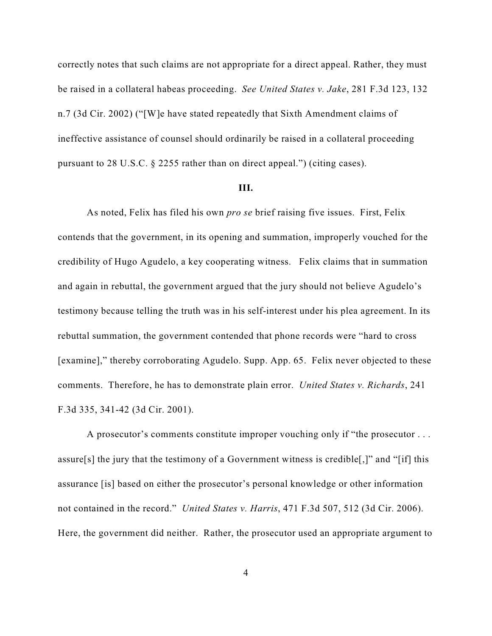correctly notes that such claims are not appropriate for a direct appeal. Rather, they must be raised in a collateral habeas proceeding. *See United States v. Jake*, 281 F.3d 123, 132 n.7 (3d Cir. 2002) ("[W]e have stated repeatedly that Sixth Amendment claims of ineffective assistance of counsel should ordinarily be raised in a collateral proceeding pursuant to 28 U.S.C. § 2255 rather than on direct appeal.") (citing cases).

#### **III.**

As noted, Felix has filed his own *pro se* brief raising five issues. First, Felix contends that the government, in its opening and summation, improperly vouched for the credibility of Hugo Agudelo, a key cooperating witness. Felix claims that in summation and again in rebuttal, the government argued that the jury should not believe Agudelo's testimony because telling the truth was in his self-interest under his plea agreement. In its rebuttal summation, the government contended that phone records were "hard to cross [examine]," thereby corroborating Agudelo. Supp. App. 65. Felix never objected to these comments. Therefore, he has to demonstrate plain error. *United States v. Richards*, 241 F.3d 335, 341-42 (3d Cir. 2001).

A prosecutor's comments constitute improper vouching only if "the prosecutor . . . assure[s] the jury that the testimony of a Government witness is credible[,]" and "[if] this assurance [is] based on either the prosecutor's personal knowledge or other information not contained in the record." *United States v. Harris*, 471 F.3d 507, 512 (3d Cir. 2006). Here, the government did neither. Rather, the prosecutor used an appropriate argument to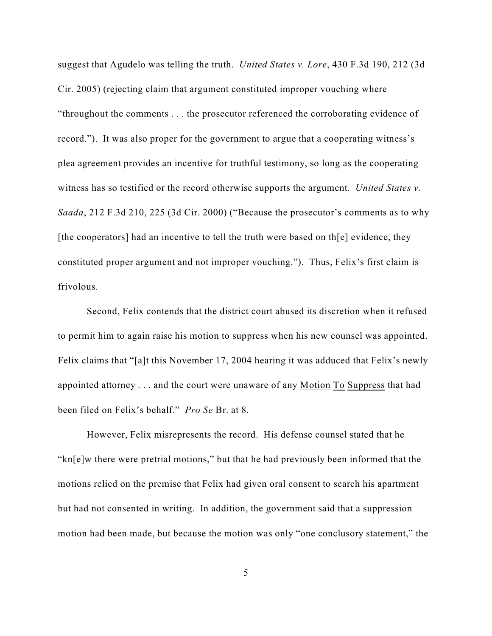suggest that Agudelo was telling the truth. *United States v. Lore*, 430 F.3d 190, 212 (3d Cir. 2005) (rejecting claim that argument constituted improper vouching where "throughout the comments . . . the prosecutor referenced the corroborating evidence of record."). It was also proper for the government to argue that a cooperating witness's plea agreement provides an incentive for truthful testimony, so long as the cooperating witness has so testified or the record otherwise supports the argument. *United States v. Saada*, 212 F.3d 210, 225 (3d Cir. 2000) ("Because the prosecutor's comments as to why [the cooperators] had an incentive to tell the truth were based on the  $[e]$  evidence, they constituted proper argument and not improper vouching."). Thus, Felix's first claim is frivolous.

Second, Felix contends that the district court abused its discretion when it refused to permit him to again raise his motion to suppress when his new counsel was appointed. Felix claims that "[a]t this November 17, 2004 hearing it was adduced that Felix's newly appointed attorney . . . and the court were unaware of any Motion To Suppress that had been filed on Felix's behalf." *Pro Se* Br. at 8.

However, Felix misrepresents the record. His defense counsel stated that he "kn[e]w there were pretrial motions," but that he had previously been informed that the motions relied on the premise that Felix had given oral consent to search his apartment but had not consented in writing. In addition, the government said that a suppression motion had been made, but because the motion was only "one conclusory statement," the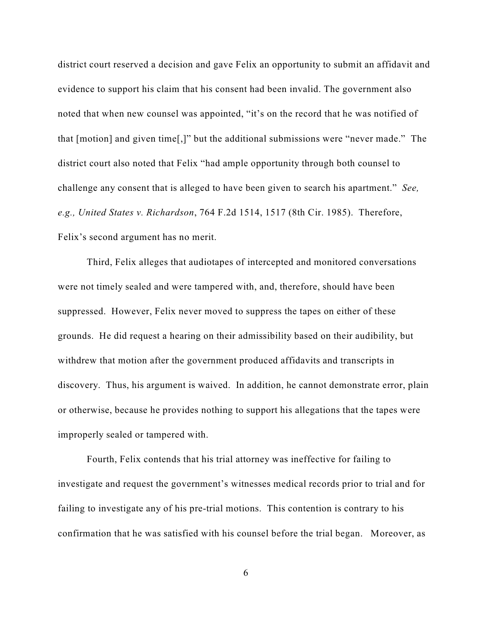district court reserved a decision and gave Felix an opportunity to submit an affidavit and evidence to support his claim that his consent had been invalid. The government also noted that when new counsel was appointed, "it's on the record that he was notified of that [motion] and given time[,]" but the additional submissions were "never made." The district court also noted that Felix "had ample opportunity through both counsel to challenge any consent that is alleged to have been given to search his apartment." *See, e.g., United States v. Richardson*, 764 F.2d 1514, 1517 (8th Cir. 1985). Therefore, Felix's second argument has no merit.

Third, Felix alleges that audiotapes of intercepted and monitored conversations were not timely sealed and were tampered with, and, therefore, should have been suppressed. However, Felix never moved to suppress the tapes on either of these grounds. He did request a hearing on their admissibility based on their audibility, but withdrew that motion after the government produced affidavits and transcripts in discovery. Thus, his argument is waived. In addition, he cannot demonstrate error, plain or otherwise, because he provides nothing to support his allegations that the tapes were improperly sealed or tampered with.

Fourth, Felix contends that his trial attorney was ineffective for failing to investigate and request the government's witnesses medical records prior to trial and for failing to investigate any of his pre-trial motions. This contention is contrary to his confirmation that he was satisfied with his counsel before the trial began. Moreover, as

6